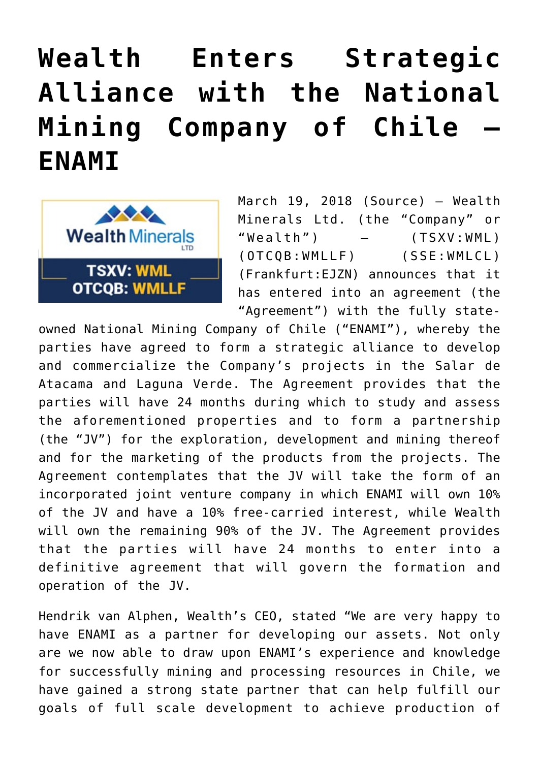# **[Wealth Enters Strategic](https://investorintel.com/markets/technology-metals/technology-metals-news/wealth-enters-strategic-alliance-national-mining-company-chile-enami/) [Alliance with the National](https://investorintel.com/markets/technology-metals/technology-metals-news/wealth-enters-strategic-alliance-national-mining-company-chile-enami/) [Mining Company of Chile –](https://investorintel.com/markets/technology-metals/technology-metals-news/wealth-enters-strategic-alliance-national-mining-company-chile-enami/) [ENAMI](https://investorintel.com/markets/technology-metals/technology-metals-news/wealth-enters-strategic-alliance-national-mining-company-chile-enami/)**



March 19, 2018 ([Source\)](https://globenewswire.com/news-release/2018/03/19/1442345/0/en/Wealth-Enters-Strategic-Alliance-with-the-National-Mining-Company-of-Chile-ENAMI.html) — Wealth Minerals Ltd. (the "Company" or "Wealth") – (TSXV:WML) (OTCQB:WMLLF) (SSE:WMLCL) (Frankfurt[:EJZN\)](https://globenewswire.com/News/Listing?symbol=EJZN&exchange=9) announces that it has entered into an agreement (the "Agreement") with the fully state-

owned National Mining Company of Chile ("ENAMI"), whereby the parties have agreed to form a strategic alliance to develop and commercialize the Company's projects in the Salar de Atacama and Laguna Verde. The Agreement provides that the parties will have 24 months during which to study and assess the aforementioned properties and to form a partnership (the "JV") for the exploration, development and mining thereof and for the marketing of the products from the projects. The Agreement contemplates that the JV will take the form of an incorporated joint venture company in which ENAMI will own 10% of the JV and have a 10% free-carried interest, while Wealth will own the remaining 90% of the JV. The Agreement provides that the parties will have 24 months to enter into a definitive agreement that will govern the formation and operation of the JV.

Hendrik van Alphen, Wealth's CEO, stated "We are very happy to have ENAMI as a partner for developing our assets. Not only are we now able to draw upon ENAMI's experience and knowledge for successfully mining and processing resources in Chile, we have gained a strong state partner that can help fulfill our goals of full scale development to achieve production of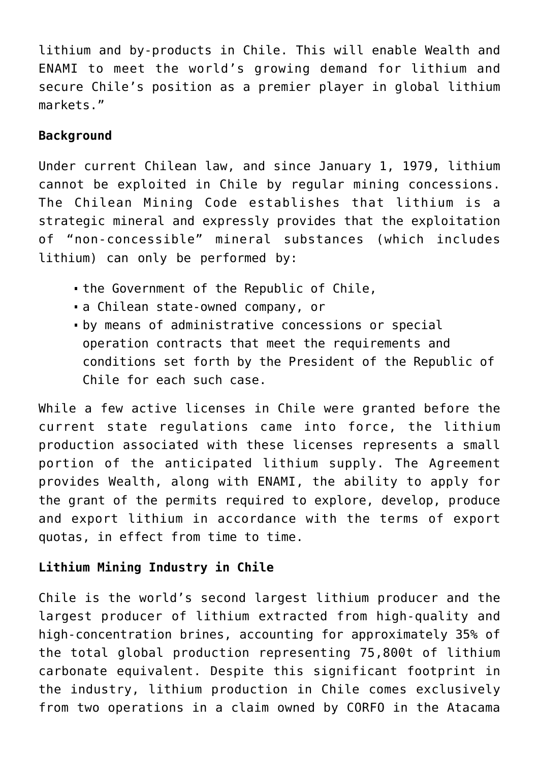lithium and by-products in Chile. This will enable Wealth and ENAMI to meet the world's growing demand for lithium and secure Chile's position as a premier player in global lithium markets."

### **Background**

Under current Chilean law, and since January 1, 1979, lithium cannot be exploited in Chile by regular mining concessions. The Chilean Mining Code establishes that lithium is a strategic mineral and expressly provides that the exploitation of "non-concessible" mineral substances (which includes lithium) can only be performed by:

- the Government of the Republic of Chile,
- a Chilean state-owned company, or
- by means of administrative concessions or special operation contracts that meet the requirements and conditions set forth by the President of the Republic of Chile for each such case.

While a few active licenses in Chile were granted before the current state regulations came into force, the lithium production associated with these licenses represents a small portion of the anticipated lithium supply. The Agreement provides Wealth, along with ENAMI, the ability to apply for the grant of the permits required to explore, develop, produce and export lithium in accordance with the terms of export quotas, in effect from time to time.

## **Lithium Mining Industry in Chile**

Chile is the world's second largest lithium producer and the largest producer of lithium extracted from high-quality and high-concentration brines, accounting for approximately 35% of the total global production representing 75,800t of lithium carbonate equivalent. Despite this significant footprint in the industry, lithium production in Chile comes exclusively from two operations in a claim owned by CORFO in the Atacama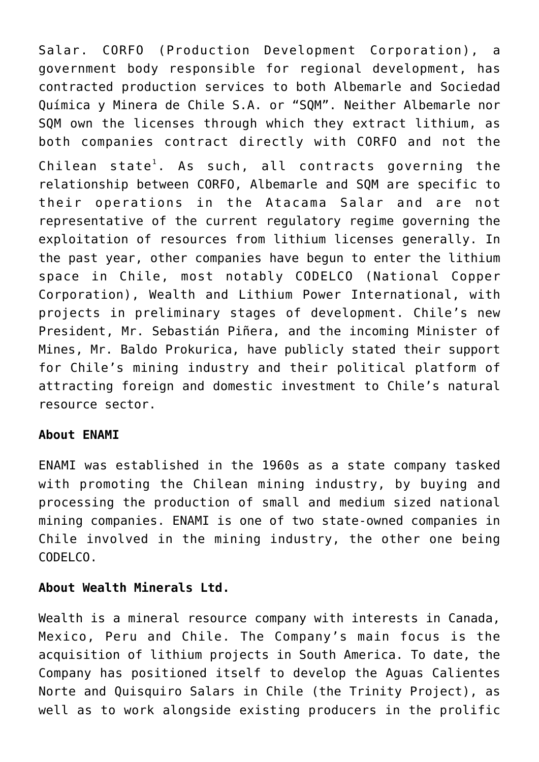Salar. CORFO (Production Development Corporation), a government body responsible for regional development, has contracted production services to both Albemarle and Sociedad Química y Minera de Chile S.A. or "SQM". Neither Albemarle nor SQM own the licenses through which they extract lithium, as both companies contract directly with CORFO and not the Chilean state $^1$ . As such, all contracts governing the relationship between CORFO, Albemarle and SQM are specific to their operations in the Atacama Salar and are not representative of the current regulatory regime governing the exploitation of resources from lithium licenses generally. In the past year, other companies have begun to enter the lithium space in Chile, most notably CODELCO (National Copper Corporation), Wealth and Lithium Power International, with projects in preliminary stages of development. Chile's new President, Mr. Sebastián Piñera, and the incoming Minister of Mines, Mr. Baldo Prokurica, have publicly stated their support for Chile's mining industry and their political platform of attracting foreign and domestic investment to Chile's natural resource sector.

#### **About ENAMI**

ENAMI was established in the 1960s as a state company tasked with promoting the Chilean mining industry, by buying and processing the production of small and medium sized national mining companies. ENAMI is one of two state-owned companies in Chile involved in the mining industry, the other one being CODELCO.

#### **About Wealth Minerals Ltd.**

Wealth is a mineral resource company with interests in Canada, Mexico, Peru and Chile. The Company's main focus is the acquisition of lithium projects in South America. To date, the Company has positioned itself to develop the Aguas Calientes Norte and Quisquiro Salars in Chile (the Trinity Project), as well as to work alongside existing producers in the prolific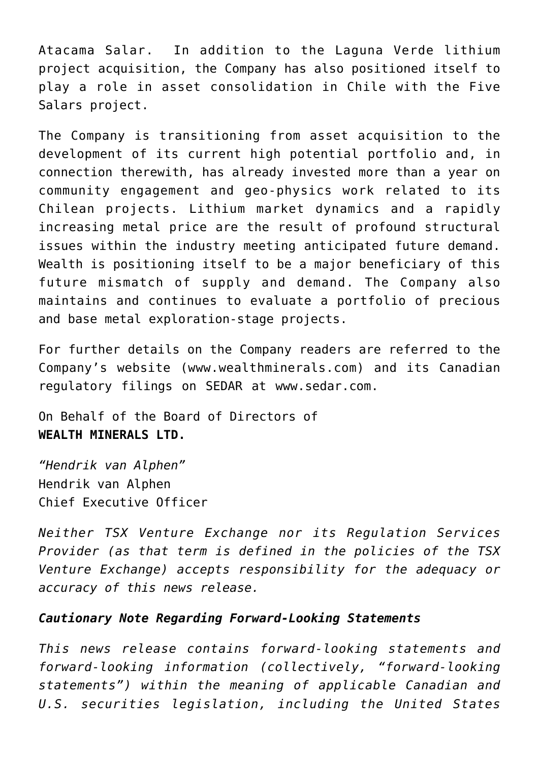Atacama Salar. In addition to the Laguna Verde lithium project acquisition, the Company has also positioned itself to play a role in asset consolidation in Chile with the Five Salars project.

The Company is transitioning from asset acquisition to the development of its current high potential portfolio and, in connection therewith, has already invested more than a year on community engagement and geo-physics work related to its Chilean projects. Lithium market dynamics and a rapidly increasing metal price are the result of profound structural issues within the industry meeting anticipated future demand. Wealth is positioning itself to be a major beneficiary of this future mismatch of supply and demand. The Company also maintains and continues to evaluate a portfolio of precious and base metal exploration-stage projects.

For further details on the Company readers are referred to the Company's website ([www.wealthminerals.com](https://www.globenewswire.com/Tracker?data=cPiclp-qhRtIGmIDah_5LE70pxrGAyQlfs4H-yZn5XuIT1kDxOZrA4xtAnZk2hLsofH5e7PmzWL8CfKIwAktyyE6iLGusD1q9B2aQ7j6-ok=)) and its Canadian regulatory filings on SEDAR at [www.sedar.com](https://www.globenewswire.com/Tracker?data=YpIC8JPO9PUKFTYYpUYEswRVV3Rtj6EF0UpmA0VaZnnRADDmFf75Dy80D8Ep8J1lDNy5q8Mr636ANJAlIPZ5aA==).

On Behalf of the Board of Directors of **WEALTH MINERALS LTD.**

*"Hendrik van Alphen"* Hendrik van Alphen Chief Executive Officer

*Neither TSX Venture Exchange nor its Regulation Services Provider (as that term is defined in the policies of the TSX Venture Exchange) accepts responsibility for the adequacy or accuracy of this news release.*

#### *Cautionary Note Regarding Forward-Looking Statements*

*This news release contains forward-looking statements and forward-looking information (collectively, "forward-looking statements") within the meaning of applicable Canadian and U.S. securities legislation, including the United States*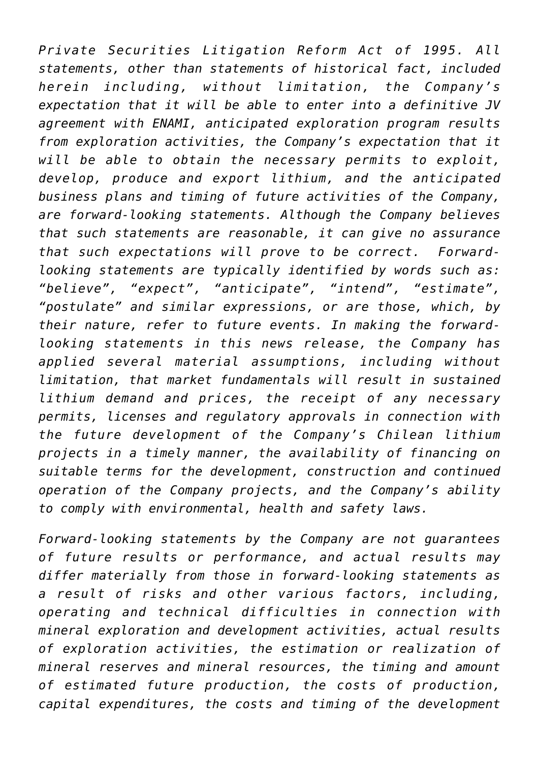*Private Securities Litigation Reform Act of 1995. All statements, other than statements of historical fact, included herein including, without limitation, the Company's expectation that it will be able to enter into a definitive JV agreement with ENAMI, anticipated exploration program results from exploration activities, the Company's expectation that it will be able to obtain the necessary permits to exploit, develop, produce and export lithium, and the anticipated business plans and timing of future activities of the Company, are forward-looking statements. Although the Company believes that such statements are reasonable, it can give no assurance that such expectations will prove to be correct. Forwardlooking statements are typically identified by words such as: "believe", "expect", "anticipate", "intend", "estimate", "postulate" and similar expressions, or are those, which, by their nature, refer to future events. In making the forwardlooking statements in this news release, the Company has applied several material assumptions, including without limitation, that market fundamentals will result in sustained lithium demand and prices, the receipt of any necessary permits, licenses and regulatory approvals in connection with the future development of the Company's Chilean lithium projects in a timely manner, the availability of financing on suitable terms for the development, construction and continued operation of the Company projects, and the Company's ability to comply with environmental, health and safety laws.*

*Forward-looking statements by the Company are not guarantees of future results or performance, and actual results may differ materially from those in forward-looking statements as a result of risks and other various factors, including, operating and technical difficulties in connection with mineral exploration and development activities, actual results of exploration activities, the estimation or realization of mineral reserves and mineral resources, the timing and amount of estimated future production, the costs of production, capital expenditures, the costs and timing of the development*